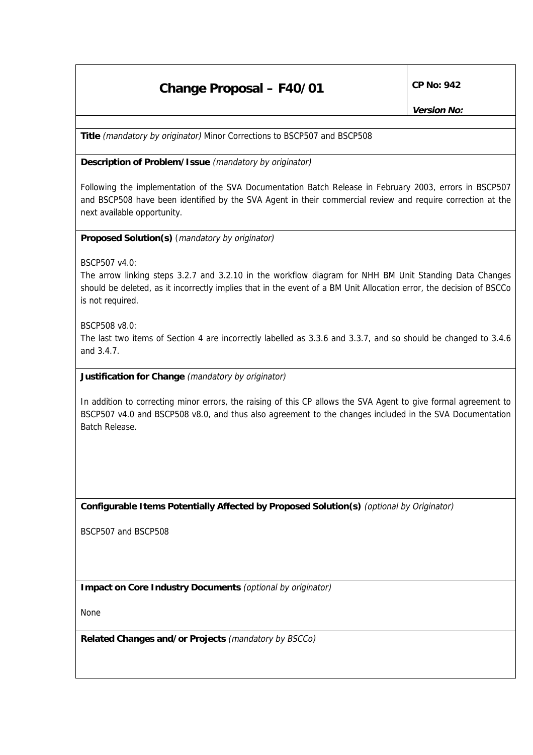## **Change Proposal – F40/01** CP No: 942

**Title** (mandatory by originator) Minor Corrections to BSCP507 and BSCP508

**Description of Problem/Issue** (mandatory by originator)

Following the implementation of the SVA Documentation Batch Release in February 2003, errors in BSCP507 and BSCP508 have been identified by the SVA Agent in their commercial review and require correction at the next available opportunity.

**Proposed Solution(s)** (mandatory by originator)

BSCP507 v4.0:

The arrow linking steps 3.2.7 and 3.2.10 in the workflow diagram for NHH BM Unit Standing Data Changes should be deleted, as it incorrectly implies that in the event of a BM Unit Allocation error, the decision of BSCCo is not required.

BSCP508 v8.0:

The last two items of Section 4 are incorrectly labelled as 3.3.6 and 3.3.7, and so should be changed to 3.4.6 and 3.4.7.

**Justification for Change** (mandatory by originator)

In addition to correcting minor errors, the raising of this CP allows the SVA Agent to give formal agreement to BSCP507 v4.0 and BSCP508 v8.0, and thus also agreement to the changes included in the SVA Documentation Batch Release.

**Configurable Items Potentially Affected by Proposed Solution(s)** (optional by Originator)

BSCP507 and BSCP508

**Impact on Core Industry Documents** (optional by originator)

None

**Related Changes and/or Projects** (mandatory by BSCCo)